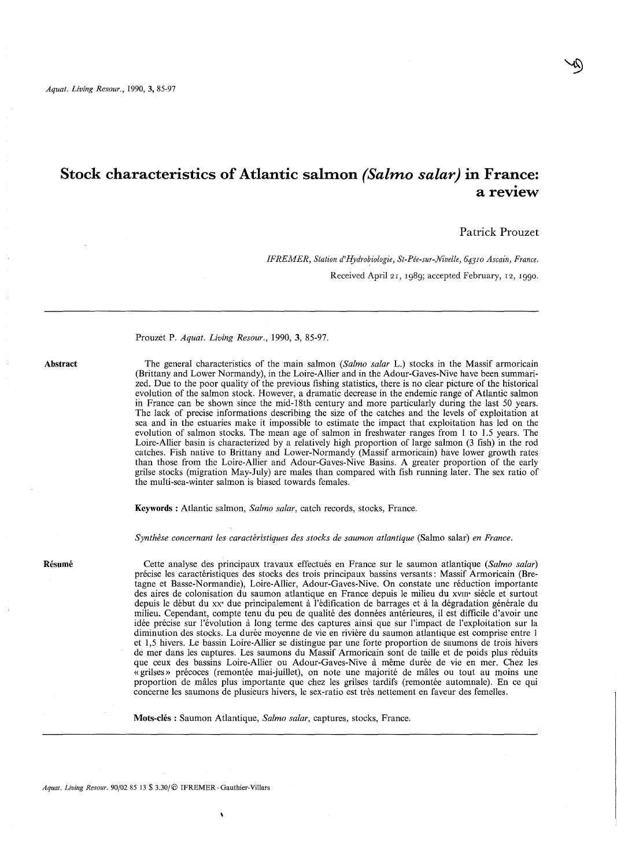# Stock characteristics of Atlantic salmon *(Salmo salar)* in France:<br>a review

# Patrick Prouzet

*IFREMER, Station d'Hydrobiologie, St-Pée-sur-Nivelle, 64310 Ascain, France.*  Received April 21, 1989; accepted February, 12, 1990.

#### Prouzet P. *Aquat. Living Resour.,* **1990,3,** 85-97.

**Abstract** 

The general characteristics of the main salmon *(Salmo salar* L.) stocks in the Massif armoricain (Brittany and Lower Normandy), in the Loire-Allier and in the Adour-Gaves-Nive have been summarized. Due to the poor quality of the previous fishing statistics, there is no clear picture of the historical in France can be shown since the mid-18th century and more particularly during the last 50 years. The lack of precise informations describing the size of the catches and the levels of exploitation at sea and in the estuaries make it impossible to estimate the impact that exploitation has led on the evolution of salmon stocks. The mean age of salmon in freshwater ranges from 1 to 1.5 years. The Loire-Allier basin is characterized by a relatively high proportion of large salmon (3 fish) in the rod catches. Fish native to Brittany and Lower-Normandy (Massif armoricain) have lower growth rates than those from the Loire-Allier and Adour-Gaves-Nive Basins. A greater proportion of the early grilse stocks (migration May-July) are males than compared with fish running later. The sex ratio of the multi-sea-winter salmon is biased towards females.

**Keywords** : Atlantic salmon, *Salmo salar,* catch records, stocks, France.

*Synthèse concernant les caractéristiques des stocks de saumon atlantique* (Salmo salar) *en France.* 

**Résumé** 

Cette analyse des principaux travaux effectués en France sur le saumon atlantique *(Salmo salar)*  précise les caractéristiques des stocks des trois principaux bassins versants: Massif Armoricain (Bretagne et Basse-Normandie), Loire-Allier, Adour-Gaves-Nive. On constate une réduction importante des aires de colonisation du saumon atlantique en France depuis le milieu du XVIII' siècle et surtout depuis le début du xx' due principalement à l'édification de barrages et à la dégradation générale du milieu. Cependant, compte tenu du peu de qualité des données antérieures, il est difficile d'avoir une idée précise sur l'évolution à long terme des captures ainsi que sur l'impact de l'exploitation sur la diminution des stocks. La durée moyenne de vie en rivière du saumon atlantique est comprise entre 1 et 1,5 hivers. Le bassin Loire-Allier se distingue par une forte proportion de saumons de trois hivers de mer dans les captures. Les saumons du Massif Armoricain sont de taille et de poids plus réduits que ceux des bassins Loire-Allier ou Adour-Gaves-Nive à même durée de vie en mer. Chez les «grilses» précoces (remontée mai-juillet), on note une majorité de mâles ou tout au moins une proportion de mâles plus importante que chez les grilses tardifs (remontée automnale). En ce qui concerne les saumons de plusieurs hivers, le sex-ratio est très nettement en faveur des femelles.

**Mots-clés:** Saumon Atlantique, *Salmo salar,* captures, stocks, France.

*Aquat. Living Resour.* 90/02 8513 \$ 3.30/@ IFREMER-Gauthier-Villars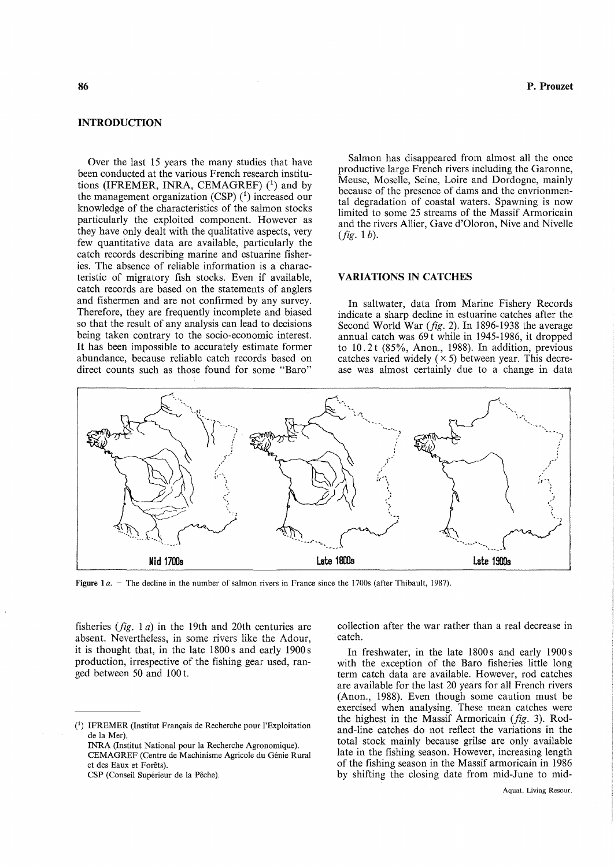## INTRODUCTION

Over the last 15 years the many studies that have been conducted at the various French research institutions (IFREMER, INRA, CEMAGREF)  $(1)$  and by the management organization (CSP)  $(1)$  increased our knowledge of the characteristics of the salmon stocks particularly the exploited component. However as they have only dealt with the qualitative aspects, very few quantitative data are available, particularly the catch records describing marine and estuarine fisheries. The absence of reliable information is a characteristic of migratory fish stocks. Even if available, catch records are based on the statements of anglers and fishermen and are not confirmed by any survey. Therefore, they are frequently incomplete and biased so that the result of any analysis can lead to decisions being taken contrary to the socio-economic interest. It has been impossible to accurately estimate former abundance, because reliable catch records based on direct counts such as those found for some "Baro"

P. Prouzet

Salmon has disappeared from almost aIl the once productive large French rivers including the Garonne, Meuse, Moselle, Seine, Loire and Dordogne, mainly because of the presence of dams and the envrionmental degradation of coastal waters. Spawning is now limited to sorne 25 streams of the Massif Armoricain and the rivers Allier, Gave d'Oloron, Nive and Nivelle *(fig.* 1 b).

# VARIATIONS IN CATCHES

In saltwater, data from Marine Fishery Records indicate a sharp decline in estuarine catches after the Second World War *(fig.* 2). In 1896-1938 the average annual catch was 69t while in 1945-1986, it dropped to 10.2 t (85%, Anon., 1988). In addition, previous catches varied widely  $(x 5)$  between year. This decrease was almost certainly due to a change in data



Figure 1*a.* – The decline in the number of salmon rivers in France since the 1700s (after Thibault, 1987).

fisheries *(fig.* 1 a) in the 19th and 20th centuries are absent. Nevertheless, in some rivers like the Adour, it is thought that, in the late  $1800 s$  and early  $1900 s$ production, irrespective of the fishing gear used, ranged between 50 and 100 t.

INRA (Institut National pour la Recherche Agronomique). CEMAGREF (Centre de Machinisme Agricole du Génie Rural et des Eaux et Forêts).

CSP (Conseil Supérieur de la Pêche).

collection after the war rather than a real decrease in catch.

In freshwater, in the late  $1800 s$  and early  $1900 s$ with the exception of the Baro fisheries little long term catch data are available. However, rod catches are available for the last 20 years for aIl French rivers (Anon., 1988). Even though some caution must be exercised when analysing. These mean catches were the highest in the Massif Armoricain *(fig.* 3). Rodand-line catches do not reflect the variations in the total stock mainly because grilse are only available late in the fishing season. However, increasing length of the fishing season in the Massif armoricain in 1986 by shifting the closing date from mid-June to mid-

e) IFREMER (Institut Français de Recherche pour l'Exploitation de la Mer).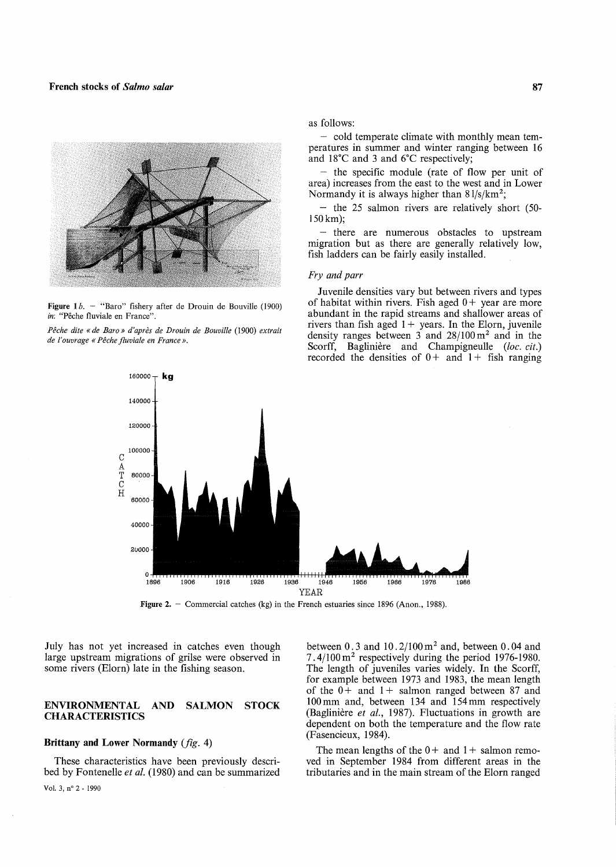

Figure 1 $b.$  - "Baro" fishery after de Drouin de Bouville (1900) *in:* "Pêche fluviale en France".

*Pêche dite* « *de Baro» d'après de Drouin de Bouville* (1900) *extrait de l'ouvrage* « *Pêche fluviale en France* ».

as follows:

- cold temperate climate with monthly mean temperatures in summer and winter ranging between 16 and 18°C and 3 and 6°C respectively;

- the specific module (rate of flow per unit of area) increases from the east to the west and in Lower Normandy it is always higher than  $81/s/km^2$ ;

- the 25 salmon rivers are relatively short (50- 150km);

- there are numerous obstacles to upstream migration but as there are generally relatively low, fish ladders can be fairly easily installed.

## *Fry and parr*

Juvenile densities vary but between rivers and types of habitat within rivers. Fish aged  $0+$  year are more abundant in the rapid streams and shallower areas of rivers than fish aged  $1+$  years. In the Elorn, juvenile density ranges between 3 and  $28/100 \text{ m}^2$  and in the Scorff, Baglinière and Champigneulle *(loc. cit.)*  recorded the densities of  $0 +$  and  $1 +$  fish ranging



Figure 2. - Commercial catches (kg) in the French estuaries since 1896 (Anon., 1988).

July has not yet increased in catches even though large upstream migrations of grilse were observed in some rivers (Elorn) late in the fishing season.

## **ENVIRONMENTAL AND SALMON STOCK CHARACTERISTICS**

## **Brittany and Lower Normandy** *(fig.* 4)

These characteristics have been previously described by Fontenelle *et al.* (1980) and can be summarized between  $0.3$  and  $10.2/100$  m<sup>2</sup> and, between  $0.04$  and  $7.4/100 \text{ m}^2$  respectively during the period 1976-1980. The length of juveniles varies widely. In the Scorff, for example between 1973 and 1983, the mean length of the  $0+$  and  $1+$  salmon ranged between 87 and 100mm and, between 134 and 154mm respectively (Baglinière *et al.,* 1987). Fluctuations in growth are dependent on both the temperature and the flow rate (Fasencieux, 1984).

The mean lengths of the  $0 +$  and  $1 +$  salmon removed in September 1984 from different areas in the tributaries and in the main stream of the Elorn ranged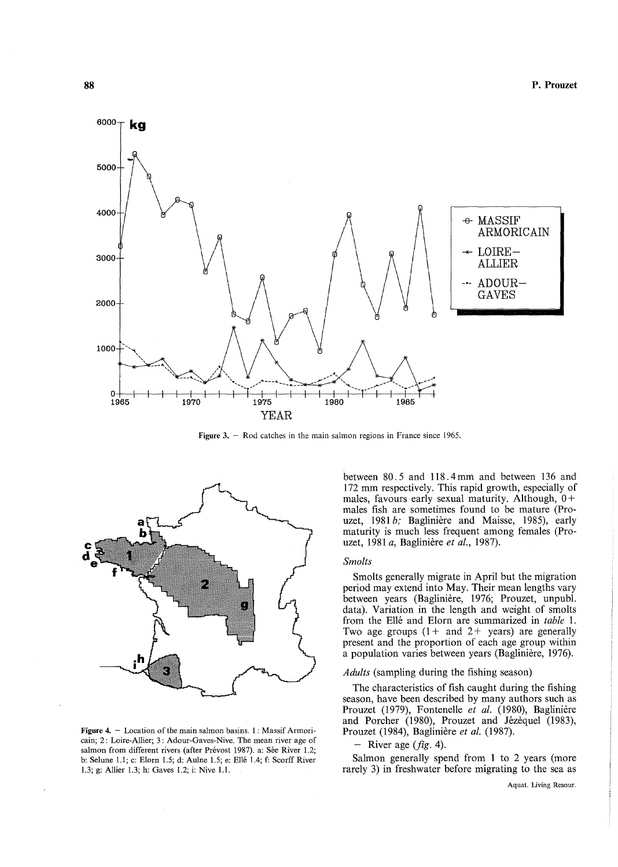

Figure 3.  $-$  Rod catches in the main salmon regions in France since 1965.



**Figure 4.**  $-$  Location of the main salmon basins. 1: Massif Armoricain; 2: Loire-Allier; 3: Adour-Gaves-Nive. The mean river age of salmon from different rivers (after Prévost 1987). a: Sée River 1.2; b: Selune 1.1; c: Elorn 1.5; d: Aulne 1.5; e: Ellé 1.4; f: Scorff River 1.3; g: Allier 1.3; h: Gaves 1.2; i: Nive 1.1.

between 80. 5 and 118.4 mm and between l36 and 172 mm respectively. This rapid growth, especially of males, favours early sexual maturity. Although,  $0+$ males fish are sometimes found to be mature (Prouzet, 1981 *b;* Baglinière and Maisse, 1985), early maturity is much less frequent among females (Prouzet, 1981 *a,* Baglinière *et al., 1987).* 

#### *Smolts*

Smolts generally migrate in April but the migration period may extend into May. Their mean lengths vary between years (Baglinière, 1976; Prouzet, unpubl. data). Variation in the length and weight of smolts from the Ellé and Elorn are summarized in *table* 1. Two age groups  $(1 +$  and  $2 +$  years) are generally present and the proportion of each age group within a population varies between years (Baglinière, 1976).

## *Adults* (sampling during the fishing season)

The characteristics of fish caught during the fishing season, have been described by many authors such as Prouzet (1979), Fontenelle *et al.* (1980), Baglinière and Porcher (1980), Prouzet and Jézèquel (1983), Prouzet (1984), Baglinière *et al. (1987).* 

- River age *(fig.* 4).

Salmon generally spend from 1 to 2 years (more rarely 3) in freshwater before migrating to the sea as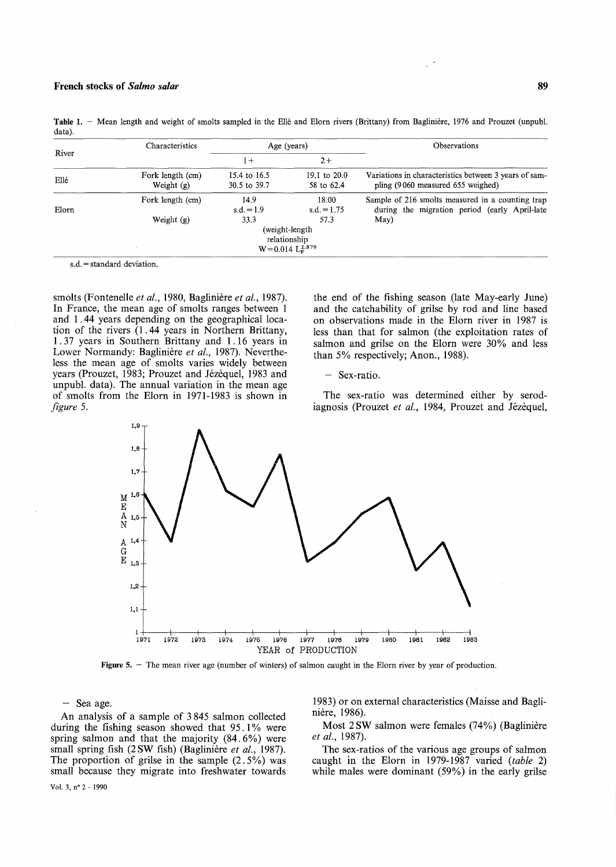|       | Characteristics                  |                              | Age (years)                                                        | <b>Observations</b>                                                                                       |
|-------|----------------------------------|------------------------------|--------------------------------------------------------------------|-----------------------------------------------------------------------------------------------------------|
| River |                                  | $+$                          | $2+$                                                               |                                                                                                           |
| Ellé  | Fork length (cm)<br>Weight $(g)$ | 15.4 to 16.5<br>30.5 to 39.7 | 19.1 to $20.0$<br>58 to 62.4                                       | Variations in characteristics between 3 years of sam-<br>pling (9060 measured 655 weighed)                |
| Elorn | Fork length (cm)<br>Weight $(g)$ | 14.9<br>$s.d. = 1.9$<br>33.3 | 18.00<br>$s.d. = 1.75$<br>57.3                                     | Sample of 216 smolts measured in a counting trap<br>during the migration period (early April-late<br>May) |
|       |                                  |                              | (weight-length)<br>relationship<br>$W = 0.014$ $L_{\rm E}^{2.879}$ |                                                                                                           |

Table 1. - Mean length and weight of smolts sampled in the Ellé and Elorn rivers (Brittany) from Baglinière, 1976 and Prouzet (unpubl. data).

s.d. = standard deviation.

smolts (Fontenelle *et al.,* 1980, Baglinière *et al., 1987).*  In France, the mean age of smolts ranges between 1 and 1.44 years depending on the geographical location of the rivers (1.44 years in Northern Brittany, 1.37 years in Southern Brittany and 1.16 years in Lower Normandy: Baglinière *et al.,* 1987). Nevertheless the mean age of smolts varies widely between years (Prouzet, 1983; Prouzet and Jézèquel, 1983 and unpubl. data). The annual variation in the mean age of smolts from the Elorn in 1971-1983 is shown in *figure 5.* 

the end of the fishing season (late May-early June) and the catchability of grilse by rod and line based on observations made in the Blorn river in 1987 is less than that for salmon (the exploitation rates of salmon and grilse on the Blorn were 30% and less than 5% respectively; Anon., 1988).

- Sex-ratio.

The sex-ratio was determined either by serodiagnosis (Prouzet *et al.,* 1984, Prouzet and Jézèquel,



Figure 5. - The mean river age (number of winters) of salmon caught in the Elorn river by year of production.

- Sea age.

An analysis of a sample of 3 845 salmon collected during the fishing season showed that 95.1% were spring salmon and that the majority (84.6%) were small spring fish (2 SW fish) (Baglinière *et al., 1987).*  The proportion of grilse in the sample  $(2.5\%)$  was small because they migrate into freshwater towards 1983) or on external characteristics (Maisse and Baglinière, 1986).

Most 2SW salmon were females (74%) (Baglinière *et al., 1987).* 

The sex-ratios of the various age groups of salmon caught in the Elorn in 1979-1987 varied *(table 2)*  while males were dominant (59%) in the early grilse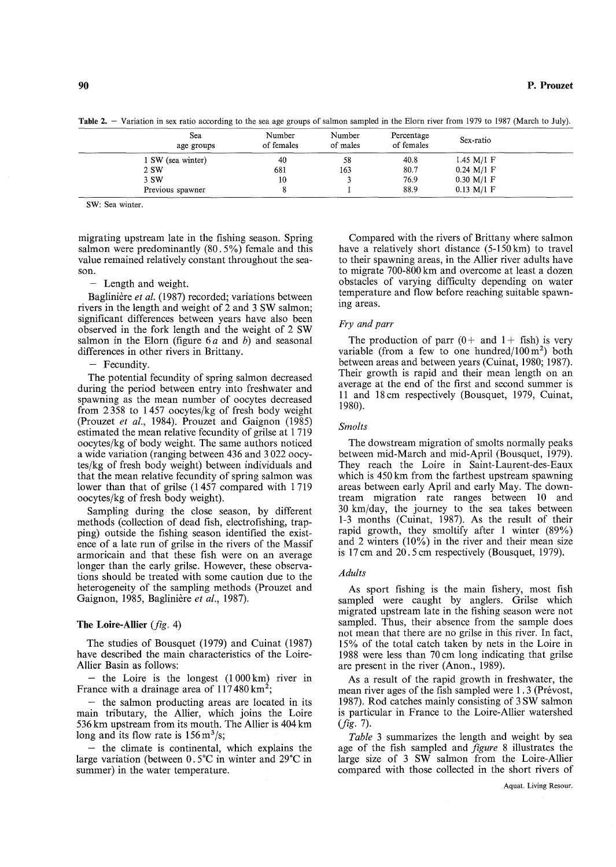Table 2. - Variation in sex ratio according to the sea age groups of salmon sampled in the Elorn river from 1979 to 1987 (March to July).

| Sea<br>age groups | Number<br>of females | Number<br>of males | Percentage<br>of females | Sex-ratio    |  |
|-------------------|----------------------|--------------------|--------------------------|--------------|--|
| 1 SW (sea winter) | 40                   | 58                 | 40.8                     | 1.45 $M/I$ F |  |
| 2 SW              | 681                  | 163                | 80.7                     | $0.24$ M/1 F |  |
| 3 SW              | 10                   |                    | 76.9                     | 0.30 M/1 F   |  |
| Previous spawner  |                      |                    | 88.9                     | $0.13 M/I$ F |  |

SW: Sea winter.

migrating upstream late in the fishing season. Spring salmon were predominantly (80.5%) female and this value remained relatively constant throughout the season.

- Length and weight.

Baglinière et al. (1987) recorded; variations between rivers in the length and weight of 2 and 3 SW salmon; significant differences between years have also been observed in the fork length and the weight of 2 SW salmon in the Elorn (figure  $6a$  and b) and seasonal differences in other rivers in Brittany.

## - Fecundity.

The potential fecundity of spring salmon decreased during the period between entry into freshwater and spawning as the mean number of oocytes decreased from 2358 to 1 457 oocytes/kg of fresh body weight (Prouzet et al., 1984). Prouzet and Gaignon (1985) estimated the mean relative fecundity of grilse at 1719 oocytes/kg of body weight. The same authors noticed a wide variation (ranging between 436 and 3022 oocytes/kg of fresh body weight) between individuals and that the mean relative fecundity of spring salmon was lower than that of grilse (1457 compared with 1719 oocytes/kg of fresh body weight).

Sampling during the close season, by different methods (collection of dead fish, electrofishing, trapping) outside the fishing season identified the existence of a late run of grilse in the rivers of the Massif armoricain and that these fish were on an average longer than the early grilse. However, these observations should be treated with sorne caution due to the heterogeneity of the sampling methods (Prouzet and Gaignon, 1985, Baglinière *et al.,* 1987).

## The Loire-Allier *(fig.* 4)

The studies of Bousquet (1979) and Cuinat (1987) have described the main characteristics of the Loire-Allier Basin as follows:

- the Loire is the longest (1 000 km) river in France with a drainage area of  $117480 \mathrm{km^2}$ ;

- the salmon producting areas are located in its main tributary, the Allier, which joins the Loire 536 km upstream from its mouth. The Allier is 404 km long and its flow rate is  $156 \,\mathrm{m}^3/\mathrm{s}$ ;

the climate is continental, which explains the large variation (between  $0.5^{\circ}$ C in winter and 29 $^{\circ}$ C in summer) in the water temperature.

Compared with the rivers of Brittany where salmon have a relatively short distance (5-150km) to travel to their spawning areas, in the Allier river adults have to migrate 700-800 km and overcome at least a dozen obstacles of varying difficulty depending on water temperature and flow before reaching suitable spawning areas.

## *Fry and parr*

The production of parr  $(0 +$  and  $1 +$  fish) is very variable (from a few to one hundred/ $100 \text{ m}^2$ ) both between areas and between years (Cuinat, 1980; 1987). Their growth is rapid and their mean length on an average at the end of the first and second summer is Il and 18 cm respectively (Bousquet, 1979, Cuinat, 1980).

#### *Smolts*

The dowstream migration of smolts normally peaks between mid-March and mid-April (Bousquet, 1979). They reach the Loire in Saint-Laurent-des-Eaux which is 450 km from the farthest upstream spawning areas between early April and early May. The downtream migration rate ranges between 10 and 30 km/day, the journey to the sea takes between 1-3 months (Cuinat, 1987). As the result of their rapid growth, they smoltify after 1 winter (89%) and 2 winters (10%) in the river and their mean size is 17 cm and 20.5 cm respectively (Bousquet, 1979).

#### *A duits*

As sport fishing is the main fishery, most fish sampled were caught by anglers. Grilse which migrated upstream late in the fishing season were not sampled. Thus, their absence from the sample does not mean that there are no grilse in this river. In fact, 15% of the total catch taken by nets in the Loire in 1988 were less than 70 cm long indicating that grilse are present in the river (Anon., 1989).

As a result of the rapid growth in freshwater, the mean river ages of the fish sampled were 1 . 3 (Prévost, 1987). Rod catches mainly consisting of 3 SW salmon is particular in France to the Loire-Allier watershed *(fig.* 7).

*Table* 3 summarizes the length and weight by sea age of the fish sampled and *figure* 8 illustrates the large size of 3 SW salmon from the Loire-Allier compared with those collected in the short rivers of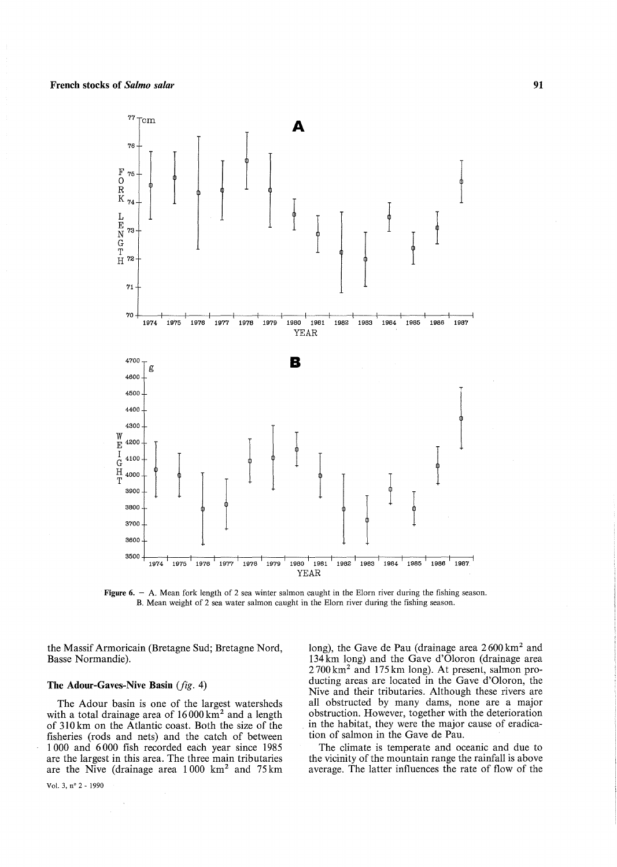

Figure 6. - A. Mean fork length of 2 sea winter salmon caught in the Elorn river during the fishing season. B. Mean weight of 2 sea water salmon caught in the Elorn river during the fishing season.

the Massif Armoricain (Bretagne Sud; Bretagne Nord, Basse Normandie).

## **The Adour-Gaves-Nive Basin** *(fig.* 4)

The Adour basin is one of the largest watersheds with a total drainage area of  $16000 \text{ km}^2$  and a length of 310 km on the Atlantic coast. Both the size of the fisheries (rods and nets) and the catch of between 1 000 and 6000 fish recorded each year since 1985 are the largest in this area. The three main tributaries are the Nive (drainage area  $1000 \text{ km}^2$  and  $75 \text{ km}$ )

long), the Gave de Pau (drainage area  $2600 \text{ km}^2$  and 134km long) and the Gave d'Oloron (drainage area 2700 km2 and 175 km long). At presenl, salmon producting areas are located in the Gave d'Oloron, the Nive and their tributaries. Although these rivers are all obstructed by many dams, none are a major obstruction. However, together with the deterioration in the habitat, they were the major cause of eradication of salmon in the Gave de Pau.

The climate is temperate and oceanic and due to the vicinity of the mountain range the rainfall is above average. The latter influences the rate of flow of the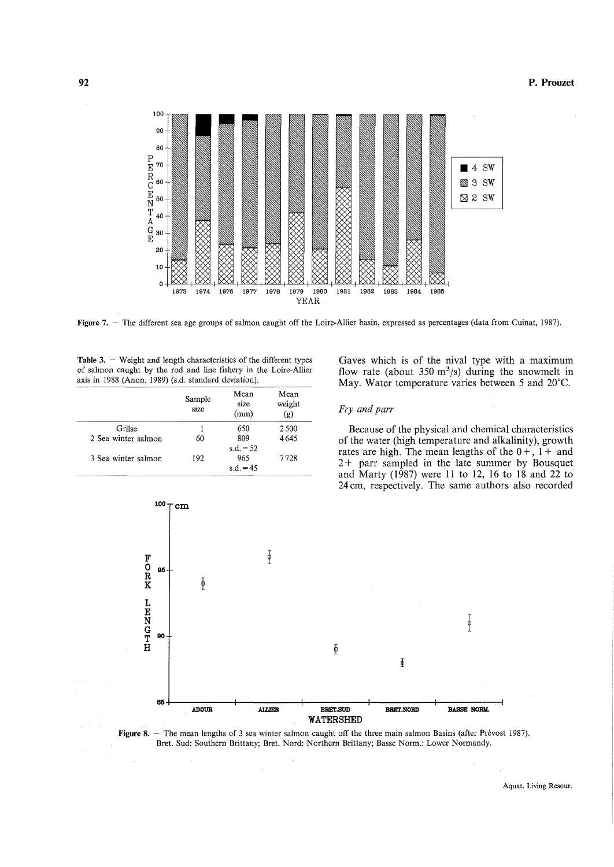## P. Prouzet



Figure 7. - The different sea age groups of salmon caught off the Loire-Allier basin, expressed as percentages (data from Cuinat, 1987).

Table 3. - Weight and length characteristics of the different types of salmon caught by the rod and line fishery in the Loire-Allier axis in 1988 (Anon. 1989) (s.d. standard deviation).

|                     | Sample<br>size | Mean<br>size<br>(mm)              | Mean<br>weight<br>(g) |
|---------------------|----------------|-----------------------------------|-----------------------|
| Grilse              |                | 650                               | 2.500                 |
| 2 Sea winter salmon | 60             | 809                               | 4645                  |
| 3 Sea winter salmon | 192            | $s.d. = 52$<br>965<br>s.d. $= 45$ | 7728                  |

Gaves which is of the nival type with a maximum flow rate (about  $350 \text{ m}^3/\text{s}$ ) during the snowmelt in May. Water temperature varies between 5 and 20°C.

## *Fry and parr*

Because of the physical and chemical characteristics of the water (high temperature and alkalinity), growth rates are high. The mean lengths of the  $0 +$ ,  $1 +$  and 2 + parr sampled in the late summer by Bousquet and Marty (1987) were 11 to 12, 16 to 18 and 22 to 24 cm, respectively. The same authors also recorded





Aquat. Living Resour.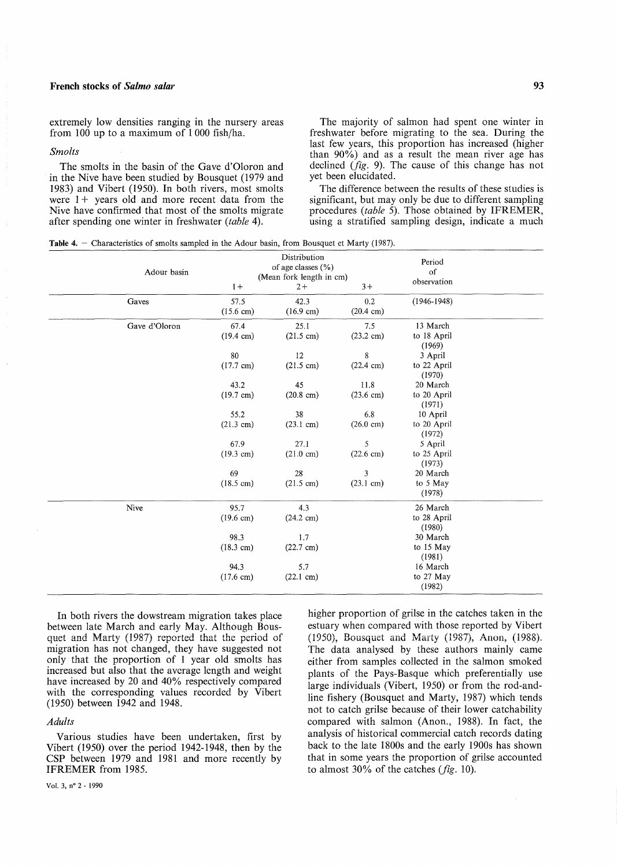**93** 

extremely low densities ranging in the nursery areas from 100 up to a maximum of 1 000 fish/ha.

#### *Smolts*

The smolts in the basin of the Gave d'Oloron and in the Nive have been studied by Bousquet (1979 and 1983) and Vibert (1950). In both rivers, most smolts were  $1+$  years old and more recent data from the Nive have confirmed that most of the smolts migrate after spending one winter in freshwater *(table 4).* 

The majority of salmon had spent one winter in freshwater before migrating to the sea. During the last few years, this proportion has increased (higher than 90%) and as a result the mean river age has declined *(fig.* 9). The cause of this change has not yet been elucidated.

The difference between the results of these studies is significant, but may only be due to different sampling procedures *(table 5)*. Those obtained by IFREMER, using a stratified sampling design, indicate a much

|  |  | <b>Table 4.</b> $-$ Characteristics of smolts sampled in the Adour basin, from Bousquet et Marty (1987). |  |  |  |  |  |  |  |  |  |  |  |  |  |
|--|--|----------------------------------------------------------------------------------------------------------|--|--|--|--|--|--|--|--|--|--|--|--|--|
|--|--|----------------------------------------------------------------------------------------------------------|--|--|--|--|--|--|--|--|--|--|--|--|--|

| Adour basin   | $1+$                        | Distribution<br>of age classes (%)<br>(Mean fork length in cm)<br>$2+$ | $3+$                           | Period<br>of<br>observation       |  |
|---------------|-----------------------------|------------------------------------------------------------------------|--------------------------------|-----------------------------------|--|
| Gaves         | 57.5<br>$(15.6 \text{ cm})$ | 42.3<br>$(16.9 \text{ cm})$                                            | 0.2<br>$(20.4 \text{ cm})$     | $(1946 - 1948)$                   |  |
| Gave d'Oloron | 67.4<br>$(19.4 \text{ cm})$ | 25.1<br>$(21.5 \text{ cm})$                                            | 7.5<br>$(23.2 \text{ cm})$     | 13 March<br>to 18 April<br>(1969) |  |
|               | 80<br>$(17.7 \text{ cm})$   | 12<br>$(21.5 \text{ cm})$                                              | $\,8\,$<br>$(22.4 \text{ cm})$ | 3 April<br>to 22 April<br>(1970)  |  |
|               | 43.2<br>$(19.7 \text{ cm})$ | 45<br>$(20.8 \text{ cm})$                                              | 11.8<br>$(23.6 \text{ cm})$    | 20 March<br>to 20 April<br>(1971) |  |
|               | 55.2<br>$(21.3 \text{ cm})$ | 38<br>$(23.1 \text{ cm})$                                              | 6.8<br>$(26.0 \text{ cm})$     | 10 April<br>to 20 April<br>(1972) |  |
|               | 67.9<br>$(19.3 \text{ cm})$ | 27.1<br>$(21.0 \text{ cm})$                                            | 5<br>$(22.6 \text{ cm})$       | 5 April<br>to 25 April<br>(1973)  |  |
|               | 69<br>$(18.5 \text{ cm})$   | 28<br>$(21.5 \text{ cm})$                                              | 3<br>$(23.1 \text{ cm})$       | 20 March<br>to 5 May<br>(1978)    |  |
| Nive          | 95.7<br>$(19.6 \text{ cm})$ | 4.3<br>$(24.2 \text{ cm})$                                             |                                | 26 March<br>to 28 April<br>(1980) |  |
|               | 98.3<br>$(18.3 \text{ cm})$ | 1.7<br>$(22.7 \text{ cm})$                                             |                                | 30 March<br>to 15 May<br>(1981)   |  |
|               | 94.3<br>$(17.6 \text{ cm})$ | 5.7<br>$(22.1 \text{ cm})$                                             |                                | 16 March<br>to 27 May<br>(1982)   |  |

In both rivers the dowstream migration takes place between late March and early May. Although Bousquet and Marty (1987) reported that the period of migration has not changed, they have suggested not only that the proportion of 1 year old smolts has increased but also that the avcragc lcngth and weight have increased by 20 and 40% respectively compared with the corresponding values recorded by Vibert (1950) between 1942 and 1948.

# *Adults*

Various studies have been undertaken, first by Vibert (1950) over the period 1942-1948, then by the CSP between 1979 and 1981 and more recently by IFREMER from 1985.

higher proportion of grilse in the catches taken in the estuary when compared with those reported by Vibert (1950), Bousquet and Marty (1987), Anon, (1988). The data analysed by these authors mainly came either from samples collected in the salmon smoked plants of the Pays-Basque which preferentially use large individuals (Vibert, 1950) or from the rod-andline fishery (Bousquet and Marty, 1987) which tends not to catch grilse because of their lower catchability compared with salmon (Anon., 1988). In fact, the analysis of historical commercial catch records dating back to the late 1800s and the early 1900s has shown that in some years the proportion of grilse accounted to almost 30% of the catches *(fig.* 10).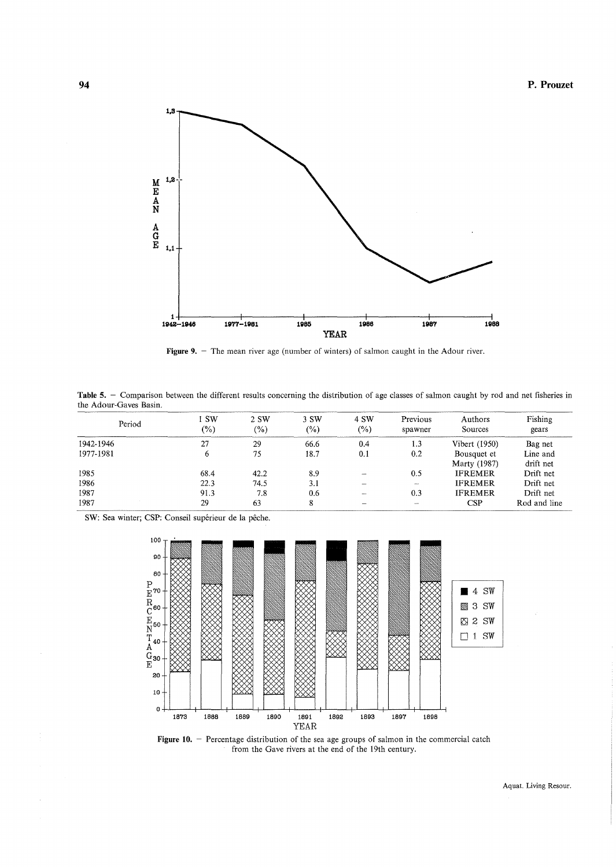

Figure 9. - The mean river age (number of winters) of salmon caught in the Adour river.

Table 5. - Comparison between the different results concerning the distribution of age classes of salmon caught by rod and net fisheries in the Adour-Gaves Basin.

| Period    | i SW<br>$(\%)$ | 2 SW<br>$(\%)$ | 3 SW<br>$(\%)$ | 4 SW<br>$(\%)$           | Previous<br>spawner | Authors<br>Sources          | Fishing<br>gears      |
|-----------|----------------|----------------|----------------|--------------------------|---------------------|-----------------------------|-----------------------|
| 1942-1946 | 27             | 29             | 66.6           | 0.4                      | 1.3                 | Vibert (1950)               | Bag net               |
| 1977-1981 |                | 75             | 18.7           | 0.1                      | 0.2                 | Bousquet et<br>Marty (1987) | Line and<br>drift net |
| 1985      | 68.4           | 42.2           | 8.9            |                          | 0.5                 | <b>IFREMER</b>              | Drift net             |
| 1986      | 22.3           | 74.5           | 3.1            |                          |                     | <b>IFREMER</b>              | Drift net             |
| 1987      | 91.3           | 7.8            | 0.6            |                          | 0.3                 | <b>IFREMER</b>              | Drift net             |
| 1987      | 29             | 63             |                | $\overline{\phantom{0}}$ | <b>Service</b>      | CSP                         | Rod and line          |

SW: Sea winter; CSP: Conseil supérieur de la pêche.



Figure 10. - Percentage distribution of the sea age groups of salmon in the commercial catch from the Gave rivers at the end of the 19th century.

Aquat. Living Resour.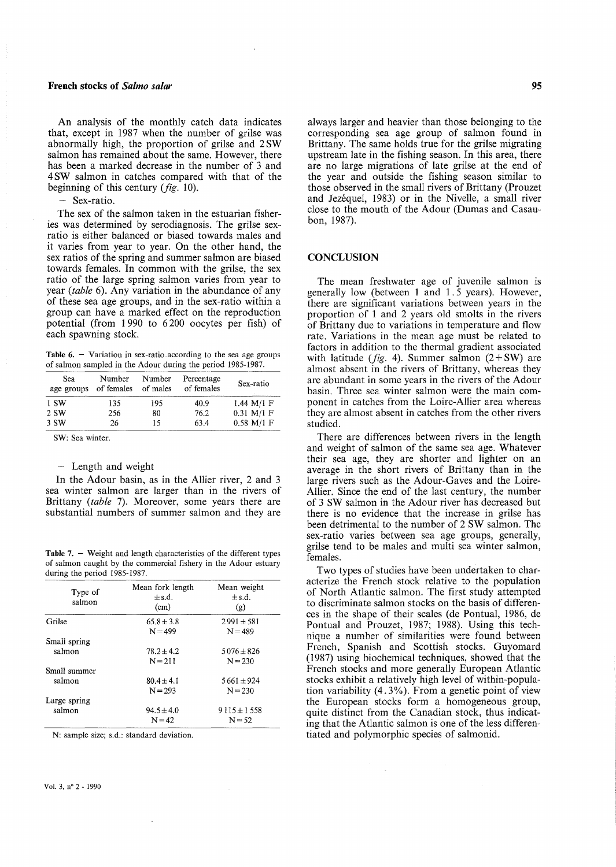An analysis of the monthly catch data indicates that, except in 1987 when the number of grilse was abnormally high, the proportion of grilse and 2 SW salmon has remained about the same. However, there has been a marked decrease in the number of 3 and 4 SW salmon in catches compared with that of the beginning of this century *(fig.* 10).

- Sex-ratio.

The sex of the salmon taken in the estuarian fisheries was determined by serodiagnosis. The grilse sexratio is either balanced or biased towards males and it varies from year to year. On the other hand, the sex ratios of the spring and summer salmon are biased towards females. In common with the grilse, the sex ratio of the large spring salmon varies from year to year *(table* 6). Any variation in the abundance of any of these sea age groups, and in the sex-ratio within a group can have a marked effect on the reproduction potential (from 1 990 to 6200 oocytes per fish) of each spawning stock.

Table  $6.$  - Variation in sex-ratio according to the sea age groups of salmon sampled in the Adour during the period 1985-1987.

| Sea<br>age groups | Number<br>of females | Number<br>of males | Percentage<br>of females | Sex-ratio    |
|-------------------|----------------------|--------------------|--------------------------|--------------|
| 1 SW              | 135                  | 195                | 40.9                     | $1.44 M/I$ F |
| 2 SW              | 256                  | 80                 | 76.2                     | $0.31$ M/1 F |
| 3 SW              | 26                   | 15                 | 63.4                     | $0.58$ M/1 F |
|                   |                      |                    |                          |              |

SW: Sea winter.

# - Length and weight

In the Adour basin, as in the Allier river, 2 and 3 sea winter salmon are larger than in the rivers of Brittany (table 7). Moreover, some years there are substantial numbers of summer salmon and they are

**Table 7.**  $-$  Weight and length characteristics of the different types of salmon caught by the commercial fishery in the Adour estuary during the period 1985-1987.

| Type of<br>salmon | Mean fork length<br>$\pm$ s.d.<br>(cm) | Mean weight<br>$\pm$ s.d.<br>(g) |
|-------------------|----------------------------------------|----------------------------------|
| Grilse            | $65.8 \pm 3.8$                         | $2991 \pm 581$                   |
|                   | $N = 499$                              | $N = 489$                        |
| Small spring      |                                        |                                  |
| salmon            | $78.2 \pm 4.2$                         | $5076 \pm 826$                   |
|                   | $N = 211$                              | $N = 230$                        |
| Small summer      |                                        |                                  |
| salmon            | $80.4 \pm 4.1$                         | $5661 \pm 924$                   |
|                   | $N = 293$                              | $N = 230$                        |
| Large spring      |                                        |                                  |
| salmon            | $94.5 \pm 4.0$                         | $9115 \pm 1558$                  |
|                   | $N = 42$                               | $N = 52$                         |

N: sample size; s.d.: standard deviation.

always larger and heavier than those belonging to the corresponding sea age group of salmon found in Brittany. The same holds true for the grilse migrating upstream late in the fishing season. In this area, there are no large migrations of late grilse at the end of the year and outside the fishing season similar to those observed in the small rivers of Brittany (Prouzet and Jezéquel, 1983) or in the Nivelle, a small river close to the mouth of the Adour (Dumas and Casaubon, 1987).

## **CONCLUSION**

The mean freshwater age of juvenile salmon is generally low (between 1 and 1.5 years). However, there are significant variations between years in the proportion of 1 and 2 years old smolts in the rivers of Brittany due to variations in temperature and flow rate. Variations in the mean age must be related to factors in addition to the thermal gradient associated with latitude *(fig. 4)*. Summer salmon  $(2+SW)$  are almost absent in the rivers of Brittany, whereas they are abundant in sorne years in the rivers of the Adour basin. Three sea winter salmon were the main component in catches from the Loire-Allier area whereas they are almost absent in catches from the other rivers studied.

There are differences between rivers in the length and weight of salmon of the same sea age. Whatever their sea age, they are shorter and lighter on an average in the short rivers of Brittany than in the large rivers such as the Adour-Gaves and the Loire-Allier. Since the end of the last century, the number of 3 SW salmon in the Adour river has decreased but there is no evidence that the increase in grilse has been detrimental to the number of 2 SW salmon. The sex-ratio varies between sea age groups, generally, grilse tend to be males and multi sea winter salmon, females.

Two types of studies have been undertaken to characterize the French stock relative to the population of North Atlantic salmon. The first study attempted to discriminate salmon stocks on the basis of differences in the shape of their scales (de Pontual, 1986, de Pontual and Prouzet, 1987; 1988). Using this technique a number of similarities were found between French, Spanish and Scottish stocks. Guyomard (1987) using biochemical techniques, showed that the French stocks and more generally European Atlantic stocks exhibit a relatively high level of within-population variability  $(4.3\%)$ . From a genetic point of view the European stocks form a homogeneous group, quite distinct from the Canadian stock, thus indicating that the Atlantic salmon is one of the less differentiated and polymorphic species of salmonid.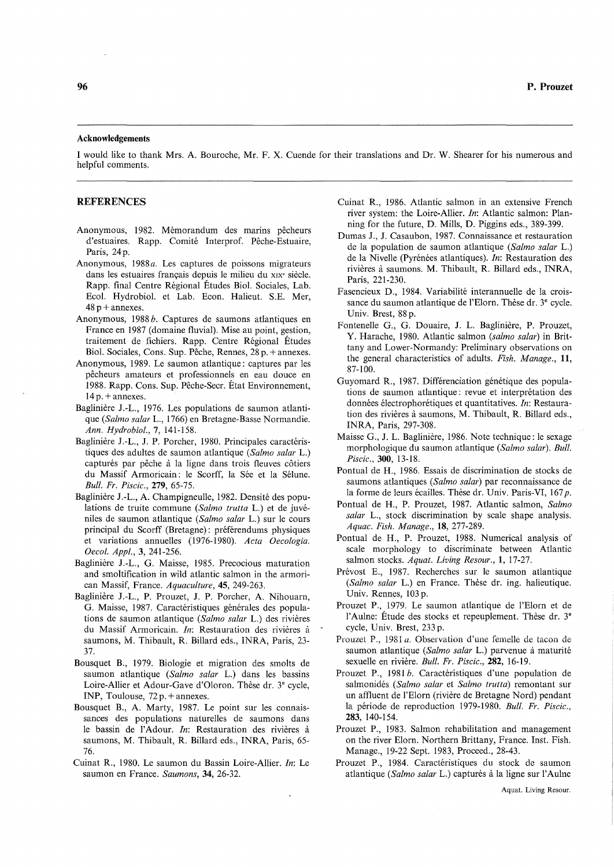#### Acknowledgements

1 would like to thank Mrs. A. Bouroche, Mr. F. X. Cuende for their translations and Dr. W. Shearer for his numerous and helpful comments.

#### REFERENCES

- Anonymous, 1982. Mémorandum des marins pêcheurs d'estuaires. Rapp. Comité Interprof. Pêche-Estuaire, Paris, 24p.
- Anonymous, *1988a.* Les captures de poissons migrateurs dans les estuaires français depuis le milieu du XIX' siècle. Rapp. final Centre Régional Études Biol. Sociales, Lab. Ecol. Hydrobiol. et Lab. Econ. Halieut. S.E. Mer,  $48p +$ annexes.
- Anonymous, 1988 *b.* Captures de saumons atlantiques en France en 1987 (domaine fluvial). Mise au point, gestion, traitement de fichiers. Rapp. Centre Régional Études Biol. Sociales, Cons. Sup. Pêche, Rennes, 28 p. + annexes.
- Anonymous, 1989. Le saumon atlantique: captures par les pêcheurs amateurs et professionnels en eau douce en 1988. Rapp. Cons. Sup. Pêche-Secr. État Environnement,  $14p. +$ annexes.
- Baglinière J.-L., 1976. Les populations de saumon atlantique *(Salmo salar* L., 1766) en Bretagne-Basse Normandie. *Ann. Hydrobiol.,* 7, 141-158.
- Baglinière J.-L., J. P. Porcher, 1980. Principales caractéristiques des adultes de saumon atlantique *(Salmo salar* L.) capturés par pêche à la ligne dans trois fleuves côtiers du Massif Armoricain: le Scorff, la Sée et la Sélune. *Bull. Fr. Piscic.,* 279, 65-75.
- Baglinière J.-L., A. Champigneulle, 1982. Densité des populations de truite commune *(Salmo trutta* L.) et de juvéniles de saumon atlantique *(Salmo salar* L.) sur le cours principal du Scorff (Bretagne): préférendums physiques et variations annuelles (1976-1980). *Acta Oecologia. Oeco/. App/.,* 3, 241-256.
- Baglinière J.-L., G. Maisse, 1985. Precocious maturation and smoltification in wild atlantic salmon in the armorican Massif, France. *Aquaculture,* 45, 249-263.
- Baglinière J.-L., P. Prouzet, J. P. Porcher, A. Nihouarn, G. Maisse, 1987. Caractéristiques générales des populations de saumon atlantique *(Salmo salar* L.) des rivières du Massif Armoricain. *In:* Restauration des rivières à saumons, M. Thibault, R. Billard eds., INRA, Paris, 23- 37.
- Bousquet B., 1979. Biologie et migration des smolts de saumon atlantique *(Salmo salar* L.) dans les bassins Loire-Allier et Adour-Gave d'Oloron. Thèse dr. 3e cycle, INP, Toulouse, 72 p. + annexes.
- Bousquet B., A. Marty, 1987. Le point sur les connaissances des populations naturelles de saumons dans le bassin de l'Adour. *In:* Restauration des rivières à saumons, M. Thibault, R. BiIIard eds., INRA, Paris, 65- 76.
- Cuinat R., 1980. Le saumon du Bassin Loire-Allier. *In:* Le saumon en France. *Saumons,* 34, 26-32.
- Cuinat R., 1986. Atlantic salmon in an extensive French river system: the Loire-Allier. *In:* Atlantic salmon: Planning for the future, D. MiIIs, D. Piggins eds., 389-399.
- Dumas J., J. Casaubon, 1987. Connaissance et restauration de la population de saumon atlantique *(Salmo salar* L.) de la Nivelle (Pyrénées atlantiques). *In:* Restauration des rivières à saumons. M. Thibault, R. Billard eds., INRA, Paris, 221-230.
- Fasencieux D., 1984. Variabilité interannuelle de la croissance du saumon atlantique de l'Elorn. Thèse dr. 3e cycle. Univ. Brest, 88 p.
- Fontenelle G., G. Douaire, J. L. Baglinière, P. Prouzet, Y. Harache, 1980. Atlantic salmon *(salmo salar)* in Brittany and Lower-Normandy: Preliminary observations on the general characteristics of adults. *Fish. Manage., 11,*  87-100.
- Guyomard R., 1987. Différenciation génétique des populations de saumon atlantique: revue et interprétation des données électrophorétiques et quantitatives. *In:* Restauration des rivières à saumons, M. Thibault, R. Billard eds., INRA, Paris, 297-308.
- Maisse G., J. L. Baglinière, 1986. Note technique: le sexage morphologique du saumon atlantique *(Salmo salar). Bull. Piscic.,300, 13-18.*
- Pontual de H., 1986. Essais de discrimination de stocks de saumons atlantiques *(Salmo salar)* par reconnaissance de la forme de leurs écailles. Thèse dr. Univ. Paris-VI, 167 *p*.
- Pontual de H., P. Prouzet, 1987. Atlantic salmon, *Salmo salar* L., stock discrimination by scale shape analysis. *Aquac. Fish. Manage.,* 18, 277-289.
- Pontual de H., P. Prouzet, 1988. Numerical analysis of scale morphology to discriminate between Atlantic salmon stocks. *Aquat. Living Resour.,* 1, 17-27.
- Prévost E., 1987. Recherches sur le saumon atlantique *(Salmo salar* L.) en France. Thèse dr. ing. halieutique. Univ. Rennes, 103 p.
- Prouzet P., 1979. Le saumon atlantique de l'Elorn et de l'Aulne: Étude des stocks et repeuplement. Thèse dr. 3<sup>e</sup> cycle, Univ. Brest, 233 p.
- Prouzel P., 1981 *a.* Observation d'une femelle de tacon de saumon atlantique *(Salmo salar* L.) parvenue à maturité sexuelle en rivière. *Bull. Fr. Piscic.,* 282, 16-19.
- Prouzet P., 1981 *b.* Caractéristiques d'une population de salmonidés *(Salmo salar* et *Salmo trutta)* remontant sur un affluent de l'Elorn (rivière de Bretagne Nord) pendant la période de reproduction 1979-1980. *Bull. Fr. Piscic.,*  283, 140-154.
- Prouzet P., 1983. Salmon rehabilitation and management on the river Elorn. Northern Brittany, France. Inst. Fish. Manage., 19-22 Sept. 1983, Proceed., 28-43.
- Prouzet P., 1984. Caractéristiques du stock de saumon atlantique *(Salmo salar L.)* capturés à la ligne sur l'Aulne

Aquat. Living Resour.